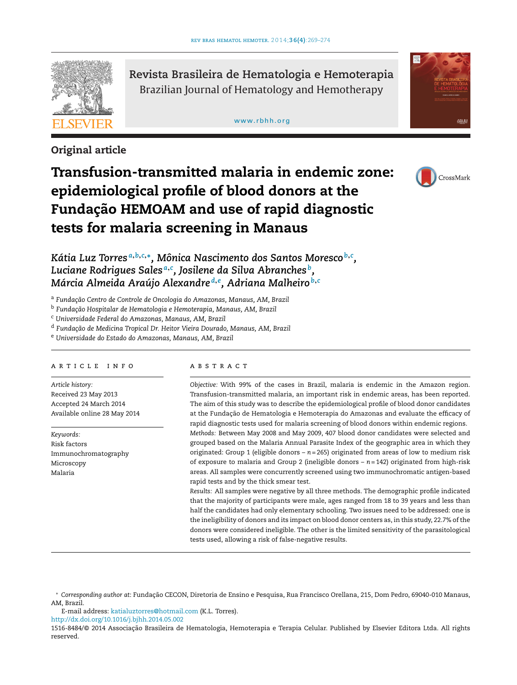

**Original article**

**Revista Brasileira de Hematologia e Hemoterapia** Brazilian Journal of Hematology and Hemotherapy

[www.rbhh.org](http://www.rbhh.org)



# **Transfusion-transmitted malaria in endemic zone: epidemiological profile of blood donors at the Fundac¸ão HEMOAM and use of rapid diagnostic tests for malaria screening in Manaus**



*Kátia Luz Torres <sup>a</sup>***,***b***,***c***,∗***, Mônica Nascimento dos Santos Moresco <sup>b</sup>***,***<sup>c</sup> , Luciane Rodrigues Sales <sup>a</sup>***,***<sup>c</sup> , Josilene da Silva Abranches b, Márcia Almeida Araújo Alexandre <sup>d</sup>***,***<sup>e</sup> , Adriana Malheiro <sup>b</sup>***,***<sup>c</sup>*

<sup>a</sup> Fundação Centro de Controle de Oncologia do Amazonas, Manaus, AM, Brazil

<sup>b</sup> Fundacão Hospitalar de Hematologia e Hemoterapia, Manaus, AM, Brazil

<sup>c</sup> *Universidade Federal do Amazonas, Manaus, AM, Brazil*

<sup>d</sup> *Fundac¸ão de Medicina Tropical Dr. Heitor Vieira Dourado, Manaus, AM, Brazil*

<sup>e</sup> *Universidade do Estado do Amazonas, Manaus, AM, Brazil*

# article info

*Article history:* Received 23 May 2013 Accepted 24 March 2014 Available online 28 May 2014

*Keywords:* Risk factors Immunochromatography Microscopy Malaria

#### A B S T B A C T

*Objective:* With 99% of the cases in Brazil, malaria is endemic in the Amazon region. Transfusion-transmitted malaria, an important risk in endemic areas, has been reported. The aim of this study was to describe the epidemiological profile of blood donor candidates at the Fundação de Hematologia e Hemoterapia do Amazonas and evaluate the efficacy of rapid diagnostic tests used for malaria screening of blood donors within endemic regions. *Methods:* Between May 2008 and May 2009, 407 blood donor candidates were selected and grouped based on the Malaria Annual Parasite Index of the geographic area in which they originated: Group 1 (eligible donors – *n* = 265) originated from areas of low to medium risk of exposure to malaria and Group 2 (ineligible donors – *n* = 142) originated from high-risk areas. All samples were concurrently screened using two immunochromatic antigen-based rapid tests and by the thick smear test.

*Results:* All samples were negative by all three methods. The demographic profile indicated that the majority of participants were male, ages ranged from 18 to 39 years and less than half the candidates had only elementary schooling. Two issues need to be addressed: one is the ineligibility of donors and its impact on blood donor centers as, in this study, 22.7% of the donors were considered ineligible. The other is the limited sensitivity of the parasitological tests used, allowing a risk of false-negative results.

E-mail address: [katialuztorres@hotmail.com](mailto:katialuztorres@hotmail.com) (K.L. Torres).

<sup>∗</sup> *Corresponding author at*: Fundac¸ão CECON, Diretoria de Ensino e Pesquisa, Rua Francisco Orellana, 215, Dom Pedro, 69040-010 Manaus, AM, Brazil.

[http://dx.doi.org/10.1016/j.bjhh.2014.05.002](dx.doi.org/10.1016/j.bjhh.2014.05.002)

<sup>1516-8484/© 2014</sup> Associação Brasileira de Hematologia, Hemoterapia e Terapia Celular. Published by Elsevier Editora Ltda. All rights reserved.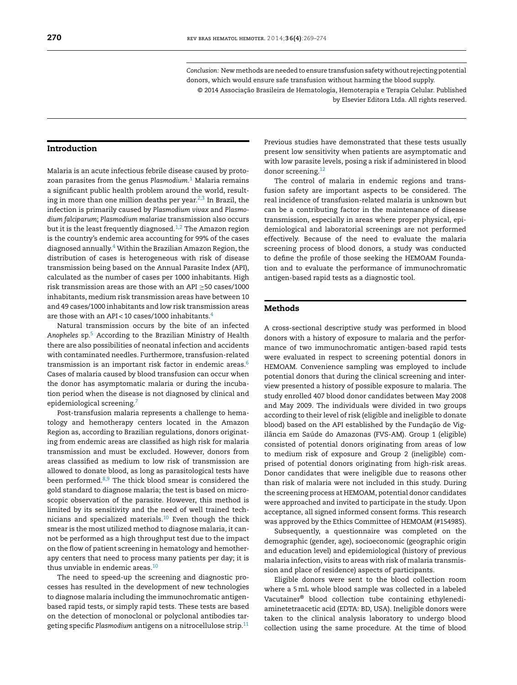*Conclusion:* New methods are needed to ensure transfusion safety without rejecting potential donors, which would ensure safe transfusion without harming the blood supply.

© 2014 Associação Brasileira de Hematologia, Hemoterapia e Terapia Celular. Published by Elsevier Editora Ltda. All rights reserved.

# **Introduction**

Malaria is an acute infectious febrile disease caused by protozoan parasites from the genus *Plasmodium*. [1](#page-4-0) Malaria remains a significant public health problem around the world, resulting in more than one million deaths per year. $2,3$  In Brazil, the infection is primarily caused by *Plasmodium vivax* and *Plasmodium falciparum*; *Plasmodium malariae* transmission also occurs but it is the least frequently diagnosed. $1,2$  The Amazon region is the country's endemic area accounting for 99% of the cases diagnosed annually.[4](#page-4-0) Within the Brazilian Amazon Region, the distribution of cases is heterogeneous with risk of disease transmission being based on the Annual Parasite Index (API), calculated as the number of cases per 1000 inhabitants. High risk transmission areas are those with an API ≥50 cases/1000 inhabitants, medium risk transmission areas have between 10 and 49 cases/1000 inhabitants and low risk transmission areas are those with an API < 10 cases/1000 inhabitants.[4](#page-4-0)

Natural transmission occurs by the bite of an infected *Anopheles* sp[.5](#page-4-0) According to the Brazilian Ministry of Health there are also possibilities of neonatal infection and accidents with contaminated needles. Furthermore, transfusion-related transmission is an important risk factor in endemic areas.<sup>[6](#page-4-0)</sup> Cases of malaria caused by blood transfusion can occur when the donor has asymptomatic malaria or during the incubation period when the disease is not diagnosed by clinical and epidemiological screening.[7](#page-5-0)

Post-transfusion malaria represents a challenge to hematology and hemotherapy centers located in the Amazon Region as, according to Brazilian regulations, donors originating from endemic areas are classified as high risk for malaria transmission and must be excluded. However, donors from areas classified as medium to low risk of transmission are allowed to donate blood, as long as parasitological tests have been performed. $8,9$  The thick blood smear is considered the gold standard to diagnose malaria; the test is based on microscopic observation of the parasite. However, this method is limited by its sensitivity and the need of well trained technicians and specialized materials. $10$  Even though the thick smear is the most utilized method to diagnose malaria, it cannot be performed as a high throughput test due to the impact on the flow of patient screening in hematology and hemotherapy centers that need to process many patients per day; it is thus unviable in endemic areas.<sup>[10](#page-5-0)</sup>

The need to speed-up the screening and diagnostic processes has resulted in the development of new technologies to diagnose malaria including the immunochromatic antigenbased rapid tests, or simply rapid tests. These tests are based on the detection of monoclonal or polyclonal antibodies targeting specific *Plasmodium* antigens on a nitrocellulose strip[.11](#page-5-0)

Previous studies have demonstrated that these tests usually present low sensitivity when patients are asymptomatic and with low parasite levels, posing a risk if administered in blood donor screening.<sup>[12](#page-5-0)</sup>

The control of malaria in endemic regions and transfusion safety are important aspects to be considered. The real incidence of transfusion-related malaria is unknown but can be a contributing factor in the maintenance of disease transmission, especially in areas where proper physical, epidemiological and laboratorial screenings are not performed effectively. Because of the need to evaluate the malaria screening process of blood donors, a study was conducted to define the profile of those seeking the HEMOAM Foundation and to evaluate the performance of immunochromatic antigen-based rapid tests as a diagnostic tool.

#### **Methods**

A cross-sectional descriptive study was performed in blood donors with a history of exposure to malaria and the performance of two immunochromatic antigen-based rapid tests were evaluated in respect to screening potential donors in HEMOAM. Convenience sampling was employed to include potential donors that during the clinical screening and interview presented a history of possible exposure to malaria. The study enrolled 407 blood donor candidates between May 2008 and May 2009. The individuals were divided in two groups according to their level of risk (eligible and ineligible to donate blood) based on the API established by the Fundação de Vigilância em Saúde do Amazonas (FVS-AM). Group 1 (eligible) consisted of potential donors originating from areas of low to medium risk of exposure and Group 2 (ineligible) comprised of potential donors originating from high-risk areas. Donor candidates that were ineligible due to reasons other than risk of malaria were not included in this study. During the screening process at HEMOAM, potential donor candidates were approached and invited to participate in the study. Upon acceptance, all signed informed consent forms. This research was approved by the Ethics Committee of HEMOAM (#154985).

Subsequently, a questionnaire was completed on the demographic (gender, age), socioeconomic (geographic origin and education level) and epidemiological (history of previous malaria infection, visits to areas with risk of malaria transmission and place of residence) aspects of participants.

Eligible donors were sent to the blood collection room where a 5mL whole blood sample was collected in a labeled Vacutainer® blood collection tube containing ethylenediaminetetraacetic acid (EDTA: BD, USA). Ineligible donors were taken to the clinical analysis laboratory to undergo blood collection using the same procedure. At the time of blood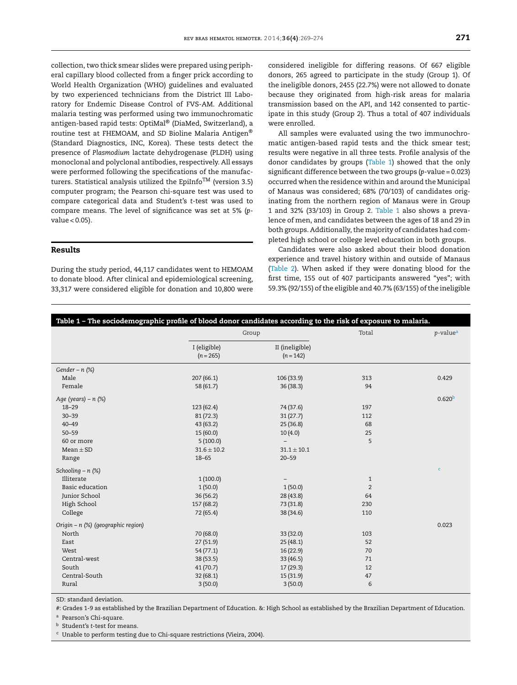collection, two thick smear slides were prepared using peripheral capillary blood collected from a finger prick according to World Health Organization (WHO) guidelines and evaluated by two experienced technicians from the District III Laboratory for Endemic Disease Control of FVS-AM. Additional malaria testing was performed using two immunochromatic antigen-based rapid tests: OptiMal® (DiaMed, Switzerland), a routine test at FHEMOAM, and *SD* Bioline Malaria Antigen® (Standard Diagnostics, INC, Korea). These tests detect the presence of *Plasmodium* lactate dehydrogenase (PLDH) using monoclonal and polyclonal antibodies, respectively. All essays were performed following the specifications of the manufacturers. Statistical analysis utilized the EpiInfo<sup>TM</sup> (version 3.5) computer program; the Pearson chi-square test was used to compare categorical data and Student's *t*-test was used to compare means. The level of significance was set at 5% (*p*value < 0.05).

#### **Results**

During the study period, 44,117 candidates went to HEMOAM to donate blood. After clinical and epidemiological screening, 33,317 were considered eligible for donation and 10,800 were considered ineligible for differing reasons. Of 667 eligible donors, 265 agreed to participate in the study (Group 1). Of the ineligible donors, 2455 (22.7%) were not allowed to donate because they originated from high-risk areas for malaria transmission based on the API, and 142 consented to participate in this study (Group 2). Thus a total of 407 individuals were enrolled.

All samples were evaluated using the two immunochromatic antigen-based rapid tests and the thick smear test; results were negative in all three tests. Profile analysis of the donor candidates by groups (Table 1) showed that the only significant difference between the two groups (*p*-value = 0.023) occurred when the residence within and around the Municipal of Manaus was considered; 68% (70/103) of candidates originating from the northern region of Manaus were in Group 1 and 32% (33/103) in Group 2. Table 1 also shows a prevalence of men, and candidates between the ages of 18 and 29 in both groups. Additionally, the majority of candidates had completed high school or college level education in both groups.

Candidates were also asked about their blood donation experience and travel history within and outside of Manaus ([Table 2\).](#page-3-0) When asked if they were donating blood for the first time, 155 out of 407 participants answered "yes"; with 59.3% (92/155) of the eligible and 40.7% (63/155) of the ineligible

| Table 1 - The sociodemographic profile of blood donor candidates according to the risk of exposure to malaria. |                             |                                |       |                         |  |  |  |
|----------------------------------------------------------------------------------------------------------------|-----------------------------|--------------------------------|-------|-------------------------|--|--|--|
|                                                                                                                | Group                       |                                | Total | $p$ -value <sup>a</sup> |  |  |  |
|                                                                                                                | I (eligible)<br>$(n = 265)$ | II (ineligible)<br>$(n = 142)$ |       |                         |  |  |  |
| Gender - $n$ (%)                                                                                               |                             |                                |       |                         |  |  |  |
| Male                                                                                                           | 207(66.1)                   | 106 (33.9)                     | 313   | 0.429                   |  |  |  |
| Female                                                                                                         | 58 (61.7)                   | 36(38.3)                       | 94    |                         |  |  |  |
| Age (years) - n (%)                                                                                            |                             |                                |       | 0.620 <sup>b</sup>      |  |  |  |
| $18 - 29$                                                                                                      | 123 (62.4)                  | 74 (37.6)                      | 197   |                         |  |  |  |
| $30 - 39$                                                                                                      | 81(72.3)                    | 31(27.7)                       | 112   |                         |  |  |  |
| $40 - 49$                                                                                                      | 43(63.2)                    | 25(36.8)                       | 68    |                         |  |  |  |
| $50 - 59$                                                                                                      | 15(60.0)                    | 10(4.0)                        | 25    |                         |  |  |  |
| 60 or more                                                                                                     | 5(100.0)                    |                                | 5     |                         |  |  |  |
| $Mean \pm SD$                                                                                                  | $31.6 \pm 10.2$             | $31.1 \pm 10.1$                |       |                         |  |  |  |
| Range                                                                                                          | $18 - 65$                   | $20 - 59$                      |       |                         |  |  |  |
| Schooling $- n$ (%)                                                                                            |                             |                                |       | $\mathbf{C}$            |  |  |  |
| Illiterate                                                                                                     | 1(100.0)                    |                                | 1     |                         |  |  |  |
| Basic education                                                                                                | 1(50.0)                     | 1(50.0)                        | 2     |                         |  |  |  |
| Junior School                                                                                                  | 36(56.2)                    | 28 (43.8)                      | 64    |                         |  |  |  |
| High School                                                                                                    | 157 (68.2)                  | 73 (31.8)                      | 230   |                         |  |  |  |
| College                                                                                                        | 72(65.4)                    | 38 (34.6)                      | 110   |                         |  |  |  |
| Origin - n (%) (geographic region)                                                                             |                             |                                |       | 0.023                   |  |  |  |
| North                                                                                                          | 70 (68.0)                   | 33 (32.0)                      | 103   |                         |  |  |  |
| East                                                                                                           | 27(51.9)                    | 25(48.1)                       | 52    |                         |  |  |  |
| West                                                                                                           | 54(77.1)                    | 16(22.9)                       | 70    |                         |  |  |  |
| Central-west                                                                                                   | 38(53.5)                    | 33(46.5)                       | 71    |                         |  |  |  |
| South                                                                                                          | 41(70.7)                    | 17(29.3)                       | 12    |                         |  |  |  |
| Central-South                                                                                                  | 32(68.1)                    | 15(31.9)                       | 47    |                         |  |  |  |
| Rural                                                                                                          | 3(50.0)                     | 3(50.0)                        | 6     |                         |  |  |  |

SD: standard deviation.

#: Grades 1-9 as established by the Brazilian Department of Education. &: High School as established by the Brazilian Department of Education.

<sup>a</sup> Pearson's Chi-square.

<sup>b</sup> Student's *t*-test for means.

<sup>c</sup> Unable to perform testing due to Chi-square restrictions (Vieira, 2004).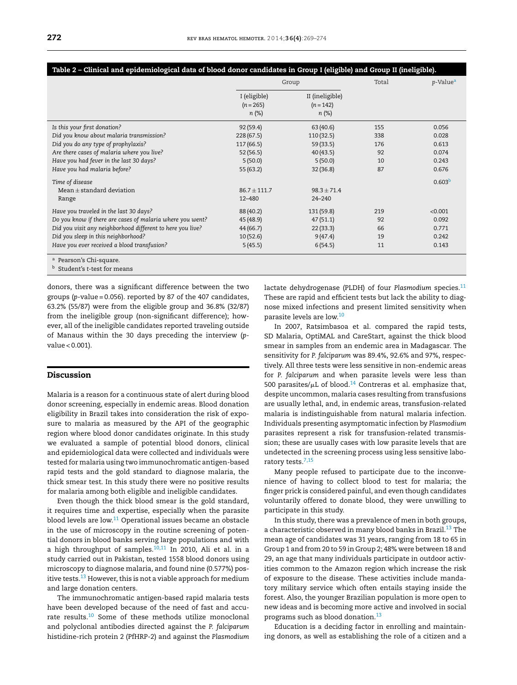**Table 2 – Clinical and epidemiological data of blood donor candidates in Group I (eligible) and Group II (ineligible).**

<span id="page-3-0"></span>

| Is this your first donation?                               | I (eligible)<br>$(n = 265)$<br>$n (\%)$ | II (ineligible)<br>$(n = 142)$<br>$n (\%)$ |     |                    |
|------------------------------------------------------------|-----------------------------------------|--------------------------------------------|-----|--------------------|
|                                                            |                                         |                                            |     |                    |
|                                                            | 92(59.4)                                | 63(40.6)                                   | 155 | 0.056              |
| Did you know about malaria transmission?                   | 228(67.5)                               | 110(32.5)                                  | 338 | 0.028              |
| Did you do any type of prophylaxis?                        | 117 (66.5)                              | 59(33.5)                                   | 176 | 0.613              |
| Are there cases of malaria where you live?                 | 52(56.5)                                | 40(43.5)                                   | 92  | 0.074              |
| Have you had fever in the last 30 days?                    | 5(50.0)                                 | 5(50.0)                                    | 10  | 0.243              |
| Have you had malaria before?                               | 55(63.2)                                | 32(36.8)                                   | 87  | 0.676              |
| Time of disease                                            |                                         |                                            |     | 0.603 <sup>b</sup> |
| Mean $\pm$ standard deviation                              | $86.7 \pm 111.7$                        | $98.3 \pm 71.4$                            |     |                    |
| Range                                                      | 12-480                                  | $24 - 240$                                 |     |                    |
| Have you traveled in the last 30 days?                     | 88 (40.2)                               | 131 (59.8)                                 | 219 | < 0.001            |
| Do you know if there are cases of malaria where you went?  | 45 (48.9)                               | 47(51.1)                                   | 92  | 0.092              |
| Did you visit any neighborhood different to here you live? | 44(66.7)                                | 22(33.3)                                   | 66  | 0.771              |
| Did you sleep in this neighborhood?                        | 10(52.6)                                | 9(47.4)                                    | 19  | 0.242              |
| Have you ever received a blood transfusion?                | 5(45.5)                                 | 6(54.5)                                    | 11  | 0.143              |

<sup>b</sup> Student's *t*-test for means

donors, there was a significant difference between the two groups (*p*-value = 0.056). reported by 87 of the 407 candidates, 63.2% (55/87) were from the eligible group and 36.8% (32/87) from the ineligible group (non-significant difference); however, all of the ineligible candidates reported traveling outside of Manaus within the 30 days preceding the interview (*p*value < 0.001).

# **Discussion**

Malaria is a reason for a continuous state of alert during blood donor screening, especially in endemic areas. Blood donation eligibility in Brazil takes into consideration the risk of exposure to malaria as measured by the API of the geographic region where blood donor candidates originate. In this study we evaluated a sample of potential blood donors, clinical and epidemiological data were collected and individuals were tested for malaria using two immunochromatic antigen-based rapid tests and the gold standard to diagnose malaria, the thick smear test. In this study there were no positive results for malaria among both eligible and ineligible candidates.

Even though the thick blood smear is the gold standard, it requires time and expertise, especially when the parasite blood levels are low. $^{11}$  $^{11}$  $^{11}$  Operational issues became an obstacle in the use of microscopy in the routine screening of potential donors in blood banks serving large populations and with a high throughput of samples. $10,11$  In 2010, Ali et al. in a study carried out in Pakistan, tested 1558 blood donors using microscopy to diagnose malaria, and found nine (0.577%) pos-itive tests.<sup>[13](#page-5-0)</sup> However, this is not a viable approach for medium and large donation centers.

The immunochromatic antigen-based rapid malaria tests have been developed because of the need of fast and accu-rate results.<sup>[10](#page-5-0)</sup> Some of these methods utilize monoclonal and polyclonal antibodies directed against the *P. falciparum* histidine-rich protein 2 (PfHRP-2) and against the *Plasmodium* lactate dehydrogenase (PLDH) of four *Plasmodium* species.<sup>11</sup> These are rapid and efficient tests but lack the ability to diagnose mixed infections and present limited sensitivity when parasite levels are low[.10](#page-5-0)

In 2007, Ratsimbasoa et al. compared the rapid tests, SD Malaria, OptiMAL and CareStart, against the thick blood smear in samples from an endemic area in Madagascar. The sensitivity for *P. falciparum* was 89.4%, 92.6% and 97%, respectively. All three tests were less sensitive in non-endemic areas for *P. falciparum* and when parasite levels were less than 500 parasites/ $\mu$ L of blood.<sup>14</sup> Contreras et al. emphasize that, despite uncommon, malaria cases resulting from transfusions are usually lethal, and, in endemic areas, transfusion-related malaria is indistinguishable from natural malaria infection. Individuals presenting asymptomatic infection by *Plasmodium* parasites represent a risk for transfusion-related transmission; these are usually cases with low parasite levels that are undetected in the screening process using less sensitive labo-ratory tests.<sup>[7,15](#page-5-0)</sup>

Many people refused to participate due to the inconvenience of having to collect blood to test for malaria; the finger prick is considered painful, and even though candidates voluntarily offered to donate blood, they were unwilling to participate in this study.

In this study, there was a prevalence of men in both groups, a characteristic observed in many blood banks in Brazil.<sup>13</sup> The mean age of candidates was 31 years, ranging from 18 to 65 in Group 1 and from 20 to 59 in Group 2; 48% were between 18 and 29, an age that many individuals participate in outdoor activities common to the Amazon region which increase the risk of exposure to the disease. These activities include mandatory military service which often entails staying inside the forest. Also, the younger Brazilian population is more open to new ideas and is becoming more active and involved in social programs such as blood donation.[13](#page-5-0)

Education is a deciding factor in enrolling and maintaining donors, as well as establishing the role of a citizen and a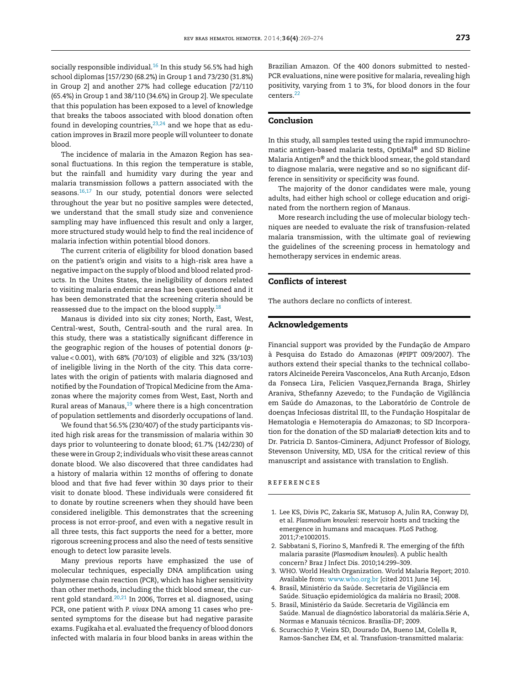<span id="page-4-0"></span>socially responsible individual. $16$  In this study 56.5% had high school diplomas [157/230 (68.2%) in Group 1 and 73/230 (31.8%) in Group 2] and another 27% had college education [72/110 (65.4%) in Group 1 and 38/110 (34.6%) in Group 2]. We speculate that this population has been exposed to a level of knowledge that breaks the taboos associated with blood donation often found in developing countries,  $23,24$  and we hope that as education improves in Brazil more people will volunteer to donate blood.

The incidence of malaria in the Amazon Region has seasonal fluctuations. In this region the temperature is stable, but the rainfall and humidity vary during the year and malaria transmission follows a pattern associated with the seasons[.16,17](#page-5-0) In our study, potential donors were selected throughout the year but no positive samples were detected, we understand that the small study size and convenience sampling may have influenced this result and only a larger, more structured study would help to find the real incidence of malaria infection within potential blood donors.

The current criteria of eligibility for blood donation based on the patient's origin and visits to a high-risk area have a negative impact on the supply of blood and blood related products. In the Unites States, the ineligibility of donors related to visiting malaria endemic areas has been questioned and it has been demonstrated that the screening criteria should be reassessed due to the impact on the blood supply.<sup>[18](#page-5-0)</sup>

Manaus is divided into six city zones; North, East, West, Central-west, South, Central-south and the rural area. In this study, there was a statistically significant difference in the geographic region of the houses of potential donors (*p*value < 0.001), with 68% (70/103) of eligible and 32% (33/103) of ineligible living in the North of the city. This data correlates with the origin of patients with malaria diagnosed and notified by the Foundation of Tropical Medicine from the Amazonas where the majority comes from West, East, North and Rural areas of Manaus, $19$  where there is a high concentration of population settlements and disorderly occupations of land.

We found that 56.5% (230/407) of the study participants visited high risk areas for the transmission of malaria within 30 days prior to volunteering to donate blood; 61.7% (142/230) of these were in Group 2; individuals who visit these areas cannot donate blood. We also discovered that three candidates had a history of malaria within 12 months of offering to donate blood and that five had fever within 30 days prior to their visit to donate blood. These individuals were considered fit to donate by routine screeners when they should have been considered ineligible. This demonstrates that the screening process is not error-proof, and even with a negative result in all three tests, this fact supports the need for a better, more rigorous screening process and also the need of tests sensitive enough to detect low parasite levels.

Many previous reports have emphasized the use of molecular techniques, especially DNA amplification using polymerase chain reaction (PCR), which has higher sensitivity than other methods, including the thick blood smear, the current gold standard. $20,21$  In 2006, Torres et al. diagnosed, using PCR, one patient with *P. vivax* DNA among 11 cases who presented symptoms for the disease but had negative parasite exams. Fugikaha et al. evaluated the frequency of blood donors infected with malaria in four blood banks in areas within the

Brazilian Amazon. Of the 400 donors submitted to nested-PCR evaluations, nine were positive for malaria, revealing high positivity, varying from 1 to 3%, for blood donors in the four centers<sup>22</sup>

# **Conclusion**

In this study, all samples tested using the rapid immunochromatic antigen-based malaria tests, OptiMal® and SD Bioline Malaria Antigen $^{\circledR}$  and the thick blood smear, the gold standard to diagnose malaria, were negative and so no significant difference in sensitivity or specificity was found.

The majority of the donor candidates were male, young adults, had either high school or college education and originated from the northern region of Manaus.

More research including the use of molecular biology techniques are needed to evaluate the risk of transfusion-related malaria transmission, with the ultimate goal of reviewing the guidelines of the screening process in hematology and hemotherapy services in endemic areas.

## **Conflicts of interest**

The authors declare no conflicts of interest.

## **Acknowledgements**

Financial support was provided by the Fundação de Amparo à Pesquisa do Estado do Amazonas (#PIPT 009/2007). The authors extend their special thanks to the technical collaborators Alcineide Pereira Vasconcelos, Ana Ruth Arcanjo, Edson da Fonseca Lira, Felicien Vasquez,Fernanda Braga, Shirley Araniva, Sthefanny Azevedo; to the Fundação de Vigilância em Saúde do Amazonas, to the Laboratório de Controle de doencas Infeciosas distrital III, to the Fundação Hospitalar de Hematologia e Hemoterapia do Amazonas; to SD Incorporation for the donation of the SD malaria® detection kits and to Dr. Patricia D. Santos-Ciminera, Adjunct Professor of Biology, Stevenson University, MD, USA for the critical review of this manuscript and assistance with translation to English.

# references

- 1. Lee KS, Divis PC, Zakaria SK, Matusop A, Julin RA, Conway DJ, et al. *Plasmodium knowlesi*: reservoir hosts and tracking the emergence in humans and macaques. PLoS Pathog. 2011;7:e1002015.
- 2. Sabbatani S, Fiorino S, Manfredi R. The emerging of the fifth malaria parasite (*Plasmodium knowlesi*). A public health concern? Braz J Infect Dis. 2010;14:299–309.
- 3. WHO. World Health Organization. World Malaria Report; 2010. Available from: [www.who.org.br](http://www.who.org.br/) [cited 2011 June 14].
- 4. Brasil, Ministério da Saúde. Secretaria de Vigilância em Saúde. Situação epidemiológica da malária no Brasil; 2008.
- 5. Brasil, Ministério da Saúde. Secretaria de Vigilância em Saúde. Manual de diagnóstico laboratorial da malária.Série A, Normas e Manuais técnicos. Brasília-DF; 2009.
- 6. Scuracchio P, Vieira SD, Dourado DA, Bueno LM, Colella R, Ramos-Sanchez EM, et al. Transfusion-transmitted malaria: